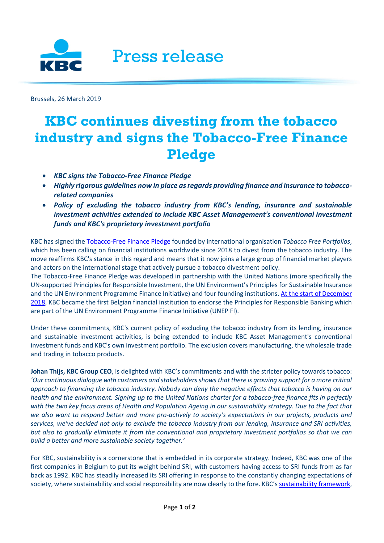

Brussels, 26 March 2019

## **KBC continues divesting from the tobacco industry and signs the Tobacco-Free Finance Pledge**

- *KBC signs the Tobacco-Free Finance Pledge*
- *Highly rigorous guidelines now in place as regards providing finance and insurance to tobaccorelated companies*
- *Policy of excluding the tobacco industry from KBC's lending, insurance and sustainable investment activities extended to include KBC Asset Management's conventional investment funds and KBC's proprietary investment portfolio*

KBC has signed the [Tobacco-Free Finance Pledge](https://tobaccofreeportfolios.org/the-tobacco-free-finance-pledge/) founded by international organisation *Tobacco Free Portfolios*, which has been calling on financial institutions worldwide since 2018 to divest from the tobacco industry. The move reaffirms KBC's stance in this regard and means that it now joins a large group of financial market players and actors on the international stage that actively pursue a tobacco divestment policy.

The Tobacco-Free Finance Pledge was developed in partnership with the United Nations (more specifically the UN-supported Principles for Responsible Investment, the UN Environment's Principles for Sustainable Insurance and the UN Environment Programme Finance Initiative) and four founding institutions[. At the start of December](https://www.kbc.com/system/files/doc/newsroom/pressreleases/2018/20181204_PB_UNEPFI_ENG.pdf)  [2018,](https://www.kbc.com/system/files/doc/newsroom/pressreleases/2018/20181204_PB_UNEPFI_ENG.pdf) KBC became the first Belgian financial institution to endorse the Principles for Responsible Banking which are part of the UN Environment Programme Finance Initiative (UNEP FI).

Under these commitments, KBC's current policy of excluding the tobacco industry from its lending, insurance and sustainable investment activities, is being extended to include KBC Asset Management's conventional investment funds and KBC's own investment portfolio. The exclusion covers manufacturing, the wholesale trade and trading in tobacco products.

**Johan Thijs, KBC Group CEO**, is delighted with KBC's commitments and with the stricter policy towards tobacco: *'Our continuous dialogue with customers and stakeholders shows that there is growing support for a more critical approach to financing the tobacco industry. Nobody can deny the negative effects that tobacco is having on our health and the environment. Signing up to the United Nations charter for a tobacco-free finance fits in perfectly*  with the two key focus areas of Health and Population Ageing in our sustainability strategy. Due to the fact that *we also want to respond better and more pro-actively to society's expectations in our projects, products and services, we've decided not only to exclude the tobacco industry from our lending, insurance and SRI activities, but also to gradually eliminate it from the conventional and proprietary investment portfolios so that we can build a better and more sustainable society together.'*

For KBC, sustainability is a cornerstone that is embedded in its corporate strategy. Indeed, KBC was one of the first companies in Belgium to put its weight behind SRI, with customers having access to SRI funds from as far back as 1992. KBC has steadily increased its SRI offering in response to the constantly changing expectations of society, where sustainability and social responsibility are now clearly to the fore. KBC'[s sustainability framework,](https://www.kbc.com/en/system/files/doc/sustainability-reponsability/FrameworkPolicies/CSD_CorporateSustainabilityFramework.pdf)